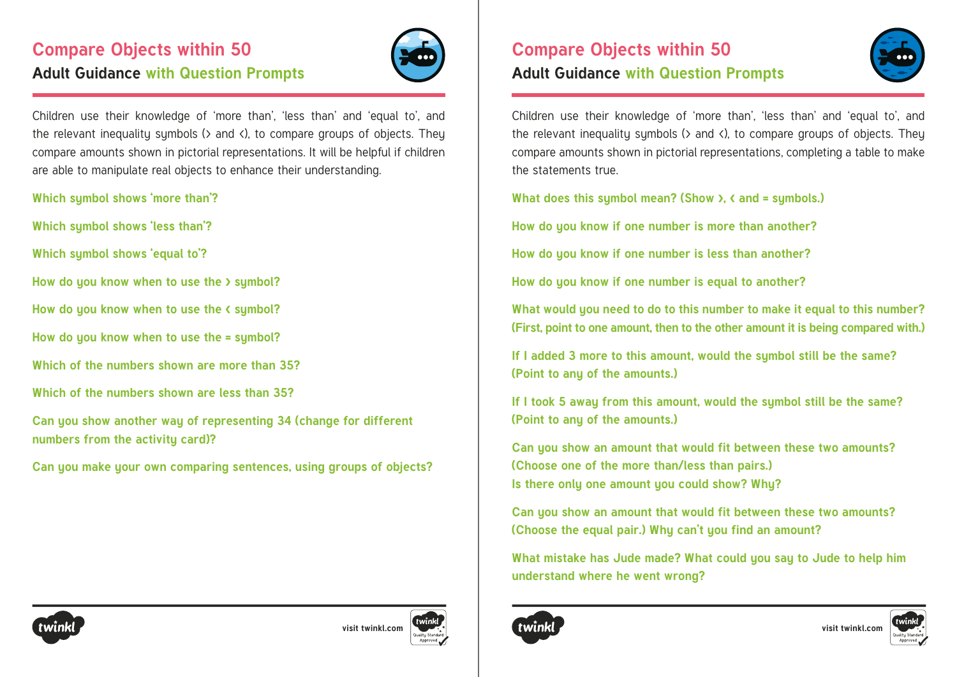# **Compare Objects within 50 Adult Guidance with Question Prompts**



Children use their knowledge of 'more than', 'less than' and 'equal to', and the relevant inequality symbols (> and <), to compare groups of objects. They compare amounts shown in pictorial representations. It will be helpful if children are able to manipulate real objects to enhance their understanding.

- **Which symbol shows 'more than'?**
- **Which symbol shows 'less than'?**
- **Which symbol shows 'equal to'?**
- **How do you know when to use the > symbol?**
- **How do you know when to use the < symbol?**
- **How do you know when to use the = symbol?**
- **Which of the numbers shown are more than 35?**
- **Which of the numbers shown are less than 35?**
- **Can you show another way of representing 34 (change for different numbers from the activity card)?**
- **Can you make your own comparing sentences, using groups of objects?**

## **Compare Objects within 50 Adult Guidance with Question Prompts**



Children use their knowledge of 'more than', 'less than' and 'equal to', and the relevant inequality symbols ( $>$  and  $\langle$ ), to compare groups of objects. They compare amounts shown in pictorial representations, completing a table to make the statements true.

**What does this symbol mean? (Show >, < and = symbols.)**

**How do you know if one number is more than another?**

**How do you know if one number is less than another?**

**How do you know if one number is equal to another?**

**What would you need to do to this number to make it equal to this number? (First, point to one amount, then to the other amount it is being compared with.)**

**If I added 3 more to this amount, would the symbol still be the same? (Point to any of the amounts.)**

**If I took 5 away from this amount, would the symbol still be the same? (Point to any of the amounts.)**

**Can you show an amount that would fit between these two amounts? (Choose one of the more than/less than pairs.) Is there only one amount you could show? Why?**

**Can you show an amount that would fit between these two amounts? (Choose the equal pair.) Why can't you find an amount?**

**What mistake has Jude made? What could you say to Jude to help him understand where he went wrong?**







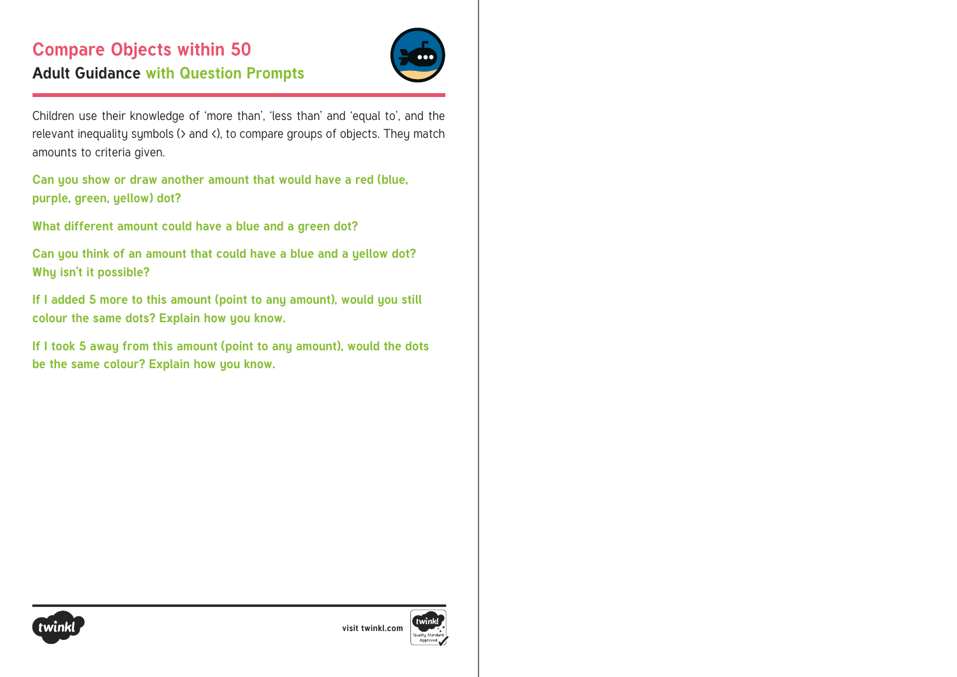# **Compare Objects within 50 Adult Guidance with Question Prompts**



Children use their knowledge of 'more than', 'less than' and 'equal to', and the relevant inequality symbols (> and <), to compare groups of objects. They match amounts to criteria given.

**Can you show or draw another amount that would have a red (blue, purple, green, yellow) dot?**

**What different amount could have a blue and a green dot?**

**Can you think of an amount that could have a blue and a yellow dot? Why isn't it possible?**

**If I added 5 more to this amount (point to any amount), would you still colour the same dots? Explain how you know.**

**If I took 5 away from this amount (point to any amount), would the dots be the same colour? Explain how you know.**



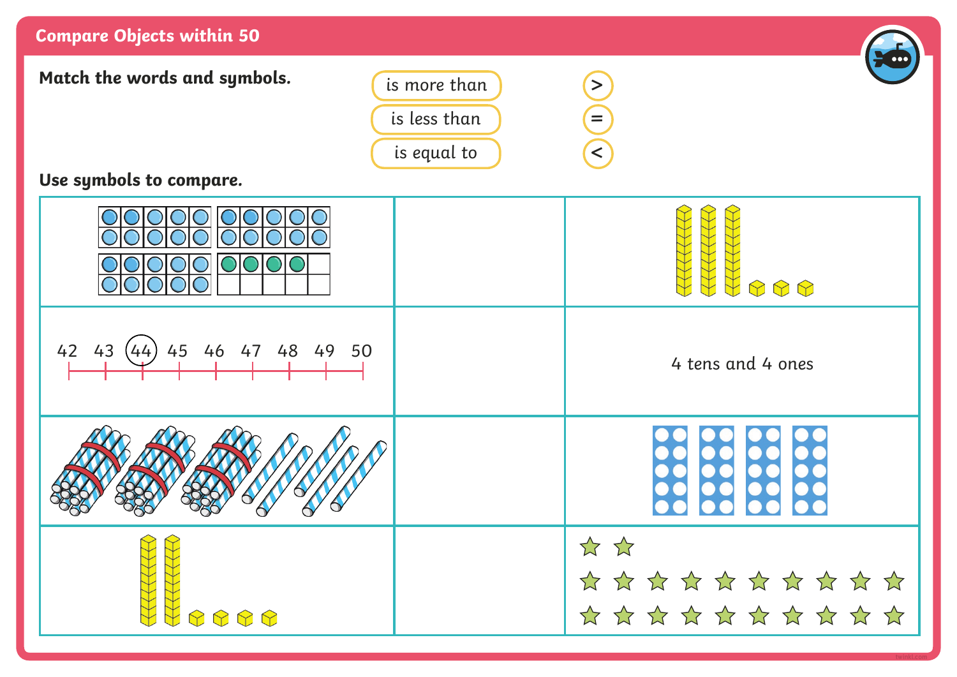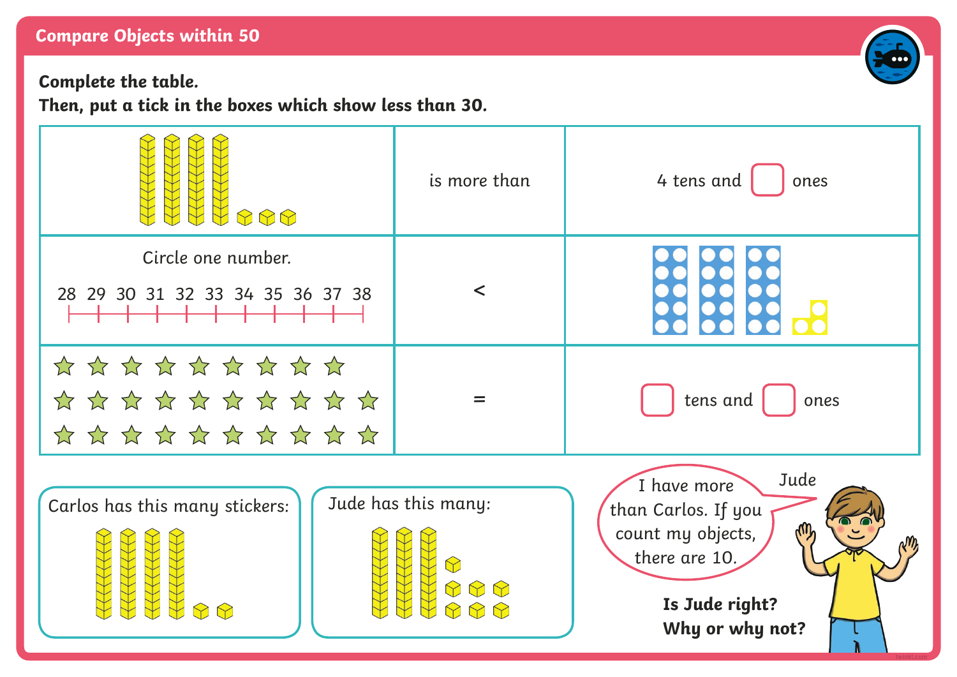#### **Compare Objects within 50**

**Complete the table.**

**Then, put a tick in the boxes which show less than 30.**